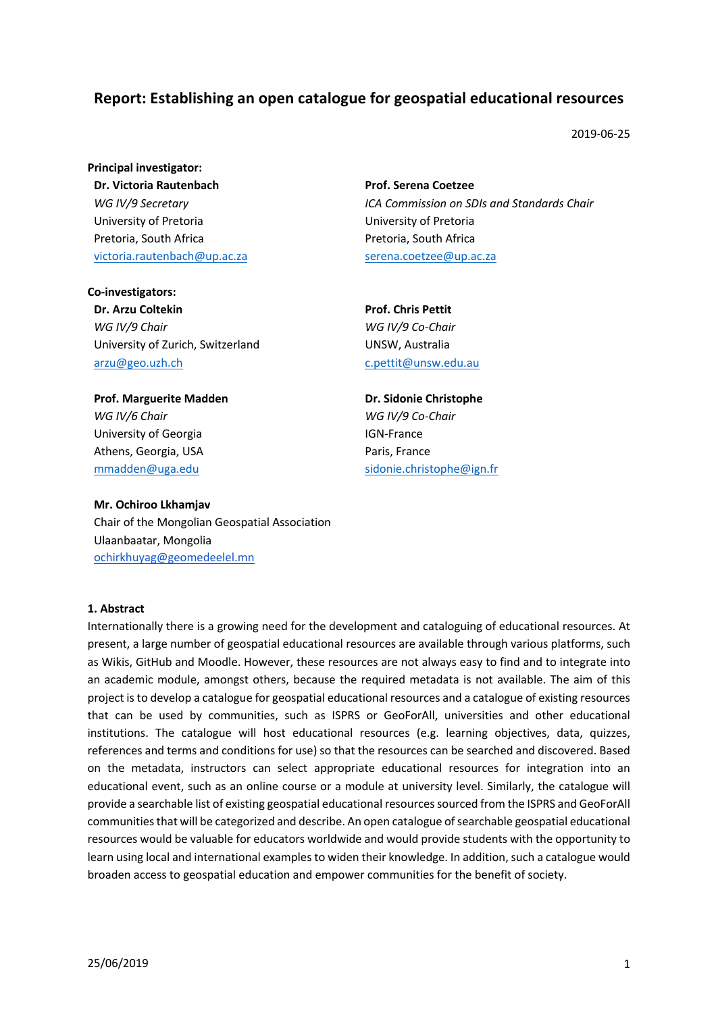# **Report: Establishing an open catalogue for geospatial educational resources**

2019-06-25

**Principal investigator: Dr. Victoria Rautenbach** *WG IV/9 Secretary* University of Pretoria Pretoria, South Africa victoria.rautenbach@up.ac.za

**Prof. Serena Coetzee** *ICA Commission on SDIs and Standards Chair* University of Pretoria Pretoria, South Africa serena.coetzee@up.ac.za

**Co-investigators: Dr. Arzu Coltekin** *WG IV/9 Chair* University of Zurich, Switzerland arzu@geo.uzh.ch

**Prof. Chris Pettit** *WG IV/9 Co-Chair* UNSW, Australia c.pettit@unsw.edu.au

**Prof. Marguerite Madden** *WG IV/6 Chair* University of Georgia Athens, Georgia, USA mmadden@uga.edu

### **Mr. Ochiroo Lkhamjav**

Chair of the Mongolian Geospatial Association Ulaanbaatar, Mongolia ochirkhuyag@geomedeelel.mn

#### **1. Abstract**

Internationally there is a growing need for the development and cataloguing of educational resources. At present, a large number of geospatial educational resources are available through various platforms, such as Wikis, GitHub and Moodle. However, these resources are not always easy to find and to integrate into an academic module, amongst others, because the required metadata is not available. The aim of this project is to develop a catalogue for geospatial educational resources and a catalogue of existing resources that can be used by communities, such as ISPRS or GeoForAll, universities and other educational institutions. The catalogue will host educational resources (e.g. learning objectives, data, quizzes, references and terms and conditions for use) so that the resources can be searched and discovered. Based on the metadata, instructors can select appropriate educational resources for integration into an educational event, such as an online course or a module at university level. Similarly, the catalogue will provide a searchable list of existing geospatial educational resources sourced from the ISPRS and GeoForAll communities that will be categorized and describe. An open catalogue of searchable geospatial educational resources would be valuable for educators worldwide and would provide students with the opportunity to learn using local and international examples to widen their knowledge. In addition, such a catalogue would broaden access to geospatial education and empower communities for the benefit of society.

**Dr. Sidonie Christophe** *WG IV/9 Co-Chair* IGN-France Paris, France sidonie.christophe@ign.fr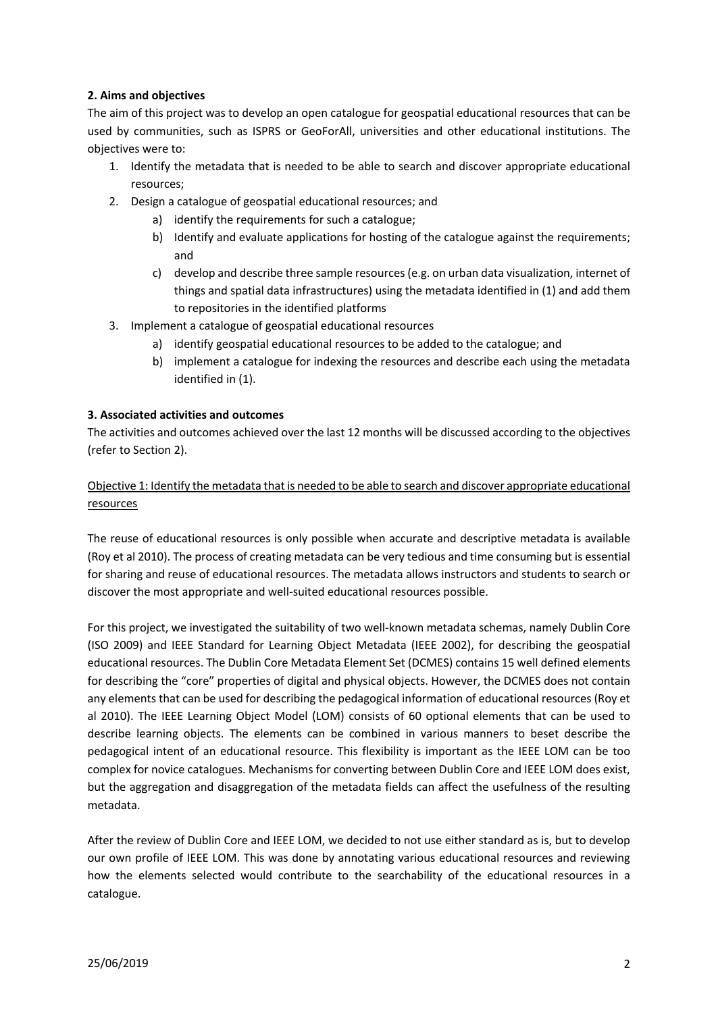## **2. Aims and objectives**

The aim of this project was to develop an open catalogue for geospatial educational resources that can be used by communities, such as ISPRS or GeoForAll, universities and other educational institutions. The objectives were to:

- 1. Identify the metadata that is needed to be able to search and discover appropriate educational resources;
- 2. Design a catalogue of geospatial educational resources; and
	- a) identify the requirements for such a catalogue;
	- b) Identify and evaluate applications for hosting of the catalogue against the requirements; and
	- c) develop and describe three sample resources(e.g. on urban data visualization, internet of things and spatial data infrastructures) using the metadata identified in (1) and add them to repositories in the identified platforms
- 3. Implement a catalogue of geospatial educational resources
	- a) identify geospatial educational resources to be added to the catalogue; and
	- b) implement a catalogue for indexing the resources and describe each using the metadata identified in (1).

### **3. Associated activities and outcomes**

The activities and outcomes achieved over the last 12 months will be discussed according to the objectives (refer to Section 2).

# Objective 1: Identify the metadata that is needed to be able to search and discover appropriate educational resources

The reuse of educational resources is only possible when accurate and descriptive metadata is available (Roy et al 2010). The process of creating metadata can be very tedious and time consuming but is essential for sharing and reuse of educational resources. The metadata allows instructors and students to search or discover the most appropriate and well-suited educational resources possible.

For this project, we investigated the suitability of two well-known metadata schemas, namely Dublin Core (ISO 2009) and IEEE Standard for Learning Object Metadata (IEEE 2002), for describing the geospatial educational resources. The Dublin Core Metadata Element Set (DCMES) contains 15 well defined elements for describing the "core" properties of digital and physical objects. However, the DCMES does not contain any elements that can be used for describing the pedagogical information of educational resources (Roy et al 2010). The IEEE Learning Object Model (LOM) consists of 60 optional elements that can be used to describe learning objects. The elements can be combined in various manners to beset describe the pedagogical intent of an educational resource. This flexibility is important as the IEEE LOM can be too complex for novice catalogues. Mechanisms for converting between Dublin Core and IEEE LOM does exist, but the aggregation and disaggregation of the metadata fields can affect the usefulness of the resulting metadata.

After the review of Dublin Core and IEEE LOM, we decided to not use either standard as is, but to develop our own profile of IEEE LOM. This was done by annotating various educational resources and reviewing how the elements selected would contribute to the searchability of the educational resources in a catalogue.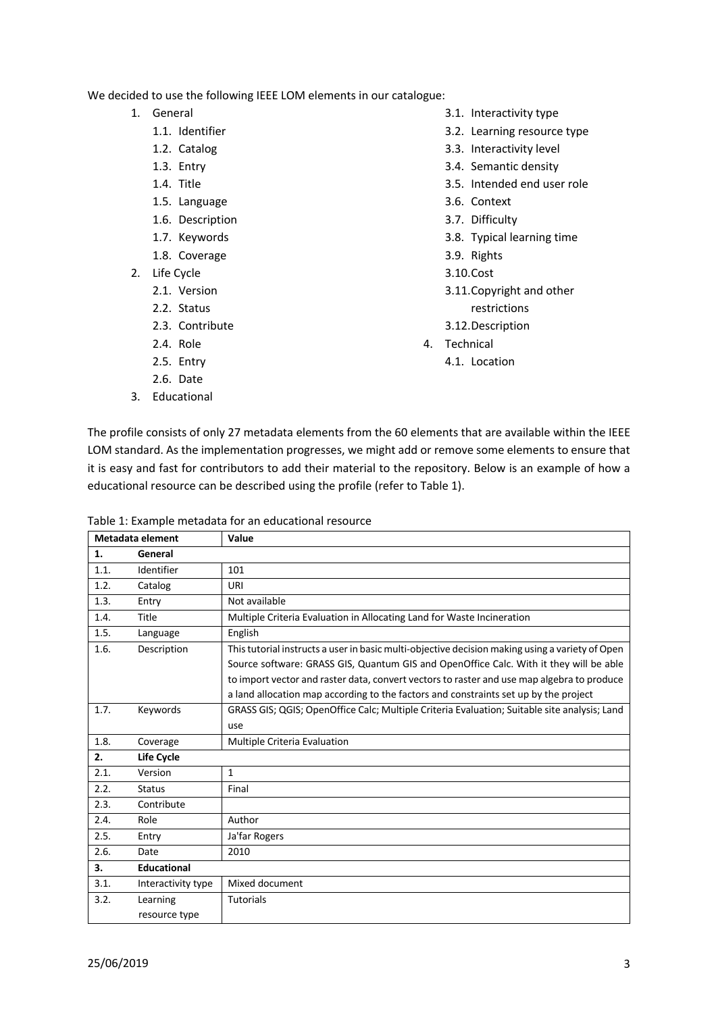We decided to use the following IEEE LOM elements in our catalogue:

- 1. General
	- 1.1. Identifier
	- 1.2. Catalog
	- 1.3. Entry
	- 1.4. Title
	- 1.5. Language
	- 1.6. Description
	- 1.7. Keywords
	- 1.8. Coverage
- 2. Life Cycle
	- 2.1. Version
	- 2.2. Status
	- 2.3. Contribute
	- 2.4. Role
	- 2.5. Entry
	- 2.6. Date
- 3. Educational
- 3.1. Interactivity type
- 3.2. Learning resource type
- 3.3. Interactivity level
- 3.4. Semantic density
- 3.5. Intended end user role
- 3.6. Context
- 3.7. Difficulty
- 3.8. Typical learning time
- 3.9. Rights
- 3.10.Cost
- 3.11.Copyright and other restrictions
- 3.12.Description
- 4. Technical
	- 4.1. Location

The profile consists of only 27 metadata elements from the 60 elements that are available within the IEEE LOM standard. As the implementation progresses, we might add or remove some elements to ensure that it is easy and fast for contributors to add their material to the repository. Below is an example of how a educational resource can be described using the profile (refer to Table 1).

Table 1: Example metadata for an educational resource

| Metadata element |                    | Value                                                                                           |  |
|------------------|--------------------|-------------------------------------------------------------------------------------------------|--|
| 1.               | General            |                                                                                                 |  |
| 1.1.             | Identifier         | 101                                                                                             |  |
| 1.2.             | Catalog            | URI                                                                                             |  |
| 1.3.             | Entry              | Not available                                                                                   |  |
| 1.4.             | Title              | Multiple Criteria Evaluation in Allocating Land for Waste Incineration                          |  |
| 1.5.             | Language           | English                                                                                         |  |
| 1.6.             | Description        | This tutorial instructs a user in basic multi-objective decision making using a variety of Open |  |
|                  |                    | Source software: GRASS GIS, Quantum GIS and OpenOffice Calc. With it they will be able          |  |
|                  |                    | to import vector and raster data, convert vectors to raster and use map algebra to produce      |  |
|                  |                    | a land allocation map according to the factors and constraints set up by the project            |  |
| 1.7.             | Keywords           | GRASS GIS; QGIS; OpenOffice Calc; Multiple Criteria Evaluation; Suitable site analysis; Land    |  |
|                  |                    | use                                                                                             |  |
| 1.8.             | Coverage           | Multiple Criteria Evaluation                                                                    |  |
| 2.               | Life Cycle         |                                                                                                 |  |
| 2.1.             | Version            | $\mathbf{1}$                                                                                    |  |
| 2.2.             | <b>Status</b>      | Final                                                                                           |  |
| 2.3.             | Contribute         |                                                                                                 |  |
| 2.4.             | Role               | Author                                                                                          |  |
| 2.5.             | Entry              | Ja'far Rogers                                                                                   |  |
| 2.6.             | Date               | 2010                                                                                            |  |
| 3.               | <b>Educational</b> |                                                                                                 |  |
| 3.1.             | Interactivity type | Mixed document                                                                                  |  |
| 3.2.             | Learning           | <b>Tutorials</b>                                                                                |  |
|                  | resource type      |                                                                                                 |  |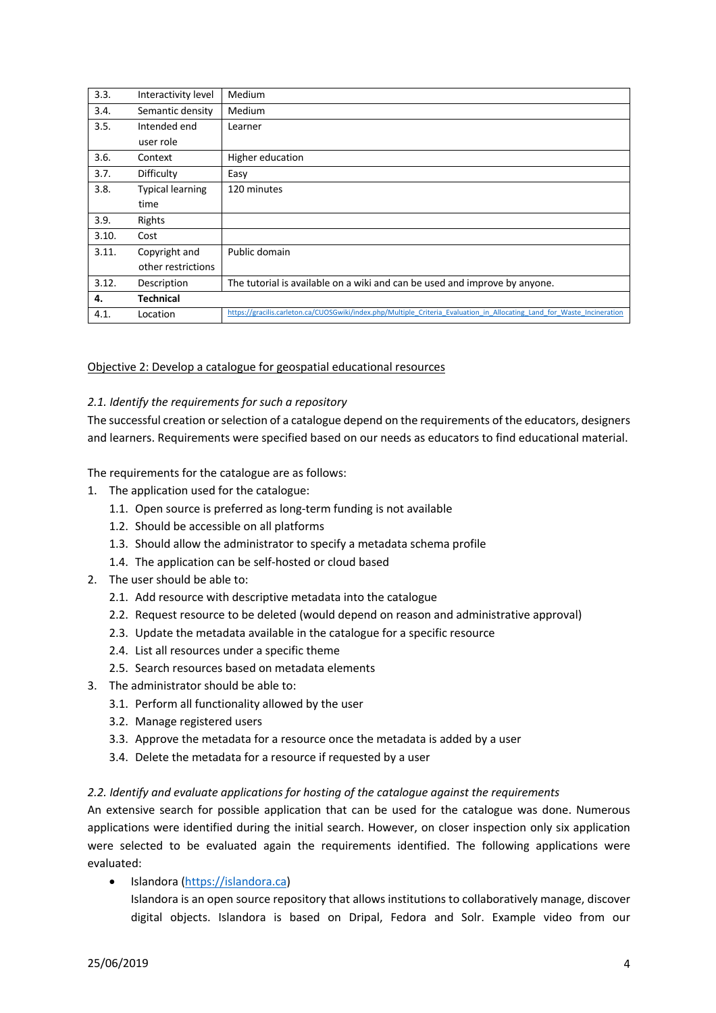| 3.3.  | Interactivity level     | Medium                                                                                                                  |  |
|-------|-------------------------|-------------------------------------------------------------------------------------------------------------------------|--|
| 3.4.  | Semantic density        | Medium                                                                                                                  |  |
| 3.5.  | Intended end            | Learner                                                                                                                 |  |
|       | user role               |                                                                                                                         |  |
| 3.6.  | Context                 | Higher education                                                                                                        |  |
| 3.7.  | Difficulty              | Easy                                                                                                                    |  |
| 3.8.  | <b>Typical learning</b> | 120 minutes                                                                                                             |  |
|       | time                    |                                                                                                                         |  |
| 3.9.  | Rights                  |                                                                                                                         |  |
| 3.10. | Cost                    |                                                                                                                         |  |
| 3.11. | Copyright and           | Public domain                                                                                                           |  |
|       | other restrictions      |                                                                                                                         |  |
| 3.12. | Description             | The tutorial is available on a wiki and can be used and improve by anyone.                                              |  |
| 4.    | <b>Technical</b>        |                                                                                                                         |  |
| 4.1.  | Location                | https://gracilis.carleton.ca/CUOSGwiki/index.php/Multiple Criteria Evaluation in Allocating Land for Waste Incineration |  |

Objective 2: Develop a catalogue for geospatial educational resources

### *2.1. Identify the requirements for such a repository*

The successful creation or selection of a catalogue depend on the requirements of the educators, designers and learners. Requirements were specified based on our needs as educators to find educational material.

The requirements for the catalogue are as follows:

- 1. The application used for the catalogue:
	- 1.1. Open source is preferred as long-term funding is not available
	- 1.2. Should be accessible on all platforms
	- 1.3. Should allow the administrator to specify a metadata schema profile
	- 1.4. The application can be self-hosted or cloud based
- 2. The user should be able to:
	- 2.1. Add resource with descriptive metadata into the catalogue
	- 2.2. Request resource to be deleted (would depend on reason and administrative approval)
	- 2.3. Update the metadata available in the catalogue for a specific resource
	- 2.4. List all resources under a specific theme
	- 2.5. Search resources based on metadata elements
- 3. The administrator should be able to:
	- 3.1. Perform all functionality allowed by the user
	- 3.2. Manage registered users
	- 3.3. Approve the metadata for a resource once the metadata is added by a user
	- 3.4. Delete the metadata for a resource if requested by a user

#### *2.2. Identify and evaluate applications for hosting of the catalogue against the requirements*

An extensive search for possible application that can be used for the catalogue was done. Numerous applications were identified during the initial search. However, on closer inspection only six application were selected to be evaluated again the requirements identified. The following applications were evaluated:

• Islandora (https://islandora.ca)

Islandora is an open source repository that allows institutions to collaboratively manage, discover digital objects. Islandora is based on Dripal, Fedora and Solr. Example video from our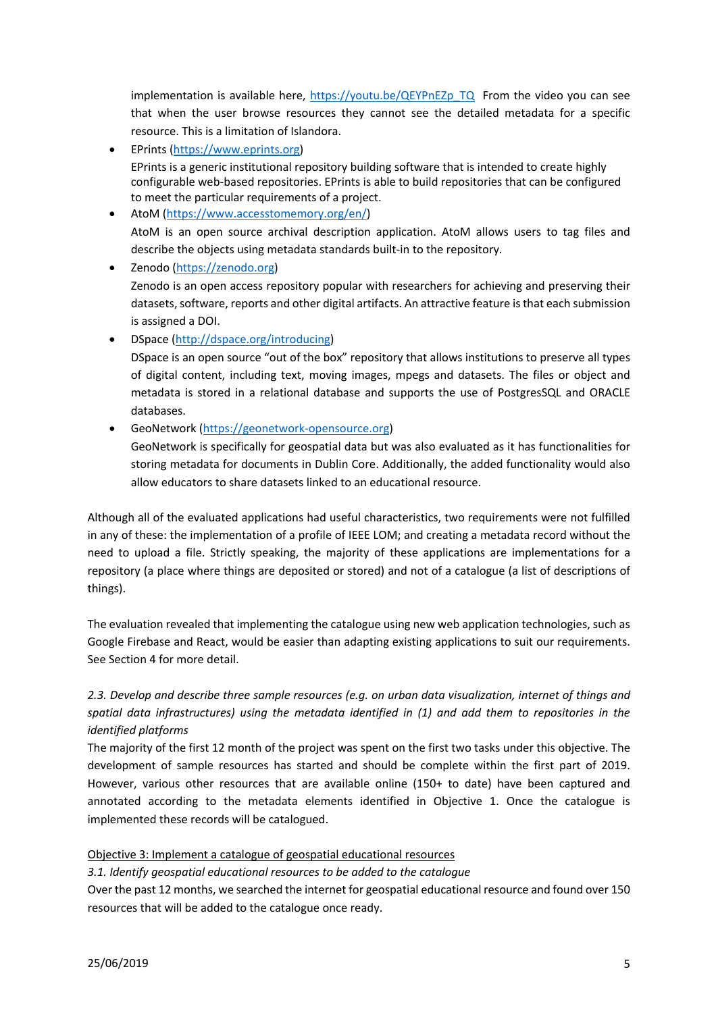implementation is available here, https://youtu.be/QEYPnEZp\_TQ\_ From the video you can see that when the user browse resources they cannot see the detailed metadata for a specific resource. This is a limitation of Islandora.

- EPrints (https://www.eprints.org) EPrints is a generic institutional repository building software that is intended to create highly configurable web-based repositories. EPrints is able to build repositories that can be configured to meet the particular requirements of a project.
- AtoM (https://www.accesstomemory.org/en/) AtoM is an open source archival description application. AtoM allows users to tag files and describe the objects using metadata standards built-in to the repository.
- Zenodo (https://zenodo.org) Zenodo is an open access repository popular with researchers for achieving and preserving their datasets, software, reports and other digital artifacts. An attractive feature is that each submission is assigned a DOI.

• DSpace (http://dspace.org/introducing)

- DSpace is an open source "out of the box" repository that allows institutions to preserve all types of digital content, including text, moving images, mpegs and datasets. The files or object and metadata is stored in a relational database and supports the use of PostgresSQL and ORACLE databases.
- GeoNetwork (https://geonetwork-opensource.org)

GeoNetwork is specifically for geospatial data but was also evaluated as it has functionalities for storing metadata for documents in Dublin Core. Additionally, the added functionality would also allow educators to share datasets linked to an educational resource.

Although all of the evaluated applications had useful characteristics, two requirements were not fulfilled in any of these: the implementation of a profile of IEEE LOM; and creating a metadata record without the need to upload a file. Strictly speaking, the majority of these applications are implementations for a repository (a place where things are deposited or stored) and not of a catalogue (a list of descriptions of things).

The evaluation revealed that implementing the catalogue using new web application technologies, such as Google Firebase and React, would be easier than adapting existing applications to suit our requirements. See Section 4 for more detail.

# *2.3. Develop and describe three sample resources (e.g. on urban data visualization, internet of things and spatial data infrastructures) using the metadata identified in (1) and add them to repositories in the identified platforms*

The majority of the first 12 month of the project was spent on the first two tasks under this objective. The development of sample resources has started and should be complete within the first part of 2019. However, various other resources that are available online (150+ to date) have been captured and annotated according to the metadata elements identified in Objective 1. Once the catalogue is implemented these records will be catalogued.

# Objective 3: Implement a catalogue of geospatial educational resources

*3.1. Identify geospatial educational resources to be added to the catalogue*

Over the past 12 months, we searched the internet for geospatial educational resource and found over 150 resources that will be added to the catalogue once ready.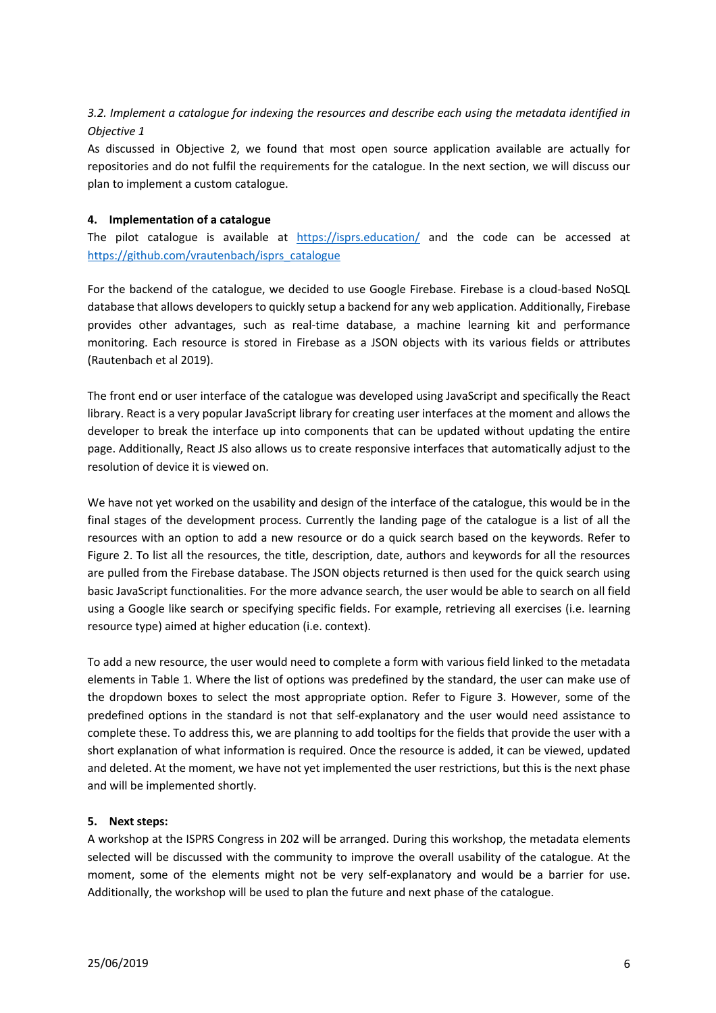# *3.2. Implement a catalogue for indexing the resources and describe each using the metadata identified in Objective 1*

As discussed in Objective 2, we found that most open source application available are actually for repositories and do not fulfil the requirements for the catalogue. In the next section, we will discuss our plan to implement a custom catalogue.

## **4. Implementation of a catalogue**

The pilot catalogue is available at https://isprs.education/ and the code can be accessed at https://github.com/vrautenbach/isprs\_catalogue

For the backend of the catalogue, we decided to use Google Firebase. Firebase is a cloud-based NoSQL database that allows developers to quickly setup a backend for any web application. Additionally, Firebase provides other advantages, such as real-time database, a machine learning kit and performance monitoring. Each resource is stored in Firebase as a JSON objects with its various fields or attributes (Rautenbach et al 2019).

The front end or user interface of the catalogue was developed using JavaScript and specifically the React library. React is a very popular JavaScript library for creating user interfaces at the moment and allows the developer to break the interface up into components that can be updated without updating the entire page. Additionally, React JS also allows us to create responsive interfaces that automatically adjust to the resolution of device it is viewed on.

We have not yet worked on the usability and design of the interface of the catalogue, this would be in the final stages of the development process. Currently the landing page of the catalogue is a list of all the resources with an option to add a new resource or do a quick search based on the keywords. Refer to Figure 2. To list all the resources, the title, description, date, authors and keywords for all the resources are pulled from the Firebase database. The JSON objects returned is then used for the quick search using basic JavaScript functionalities. For the more advance search, the user would be able to search on all field using a Google like search or specifying specific fields. For example, retrieving all exercises (i.e. learning resource type) aimed at higher education (i.e. context).

To add a new resource, the user would need to complete a form with various field linked to the metadata elements in Table 1. Where the list of options was predefined by the standard, the user can make use of the dropdown boxes to select the most appropriate option. Refer to Figure 3. However, some of the predefined options in the standard is not that self-explanatory and the user would need assistance to complete these. To address this, we are planning to add tooltips for the fields that provide the user with a short explanation of what information is required. Once the resource is added, it can be viewed, updated and deleted. At the moment, we have not yet implemented the user restrictions, but this is the next phase and will be implemented shortly.

# **5. Next steps:**

A workshop at the ISPRS Congress in 202 will be arranged. During this workshop, the metadata elements selected will be discussed with the community to improve the overall usability of the catalogue. At the moment, some of the elements might not be very self-explanatory and would be a barrier for use. Additionally, the workshop will be used to plan the future and next phase of the catalogue.